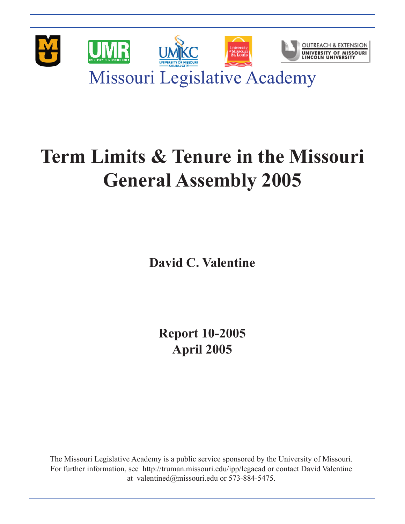

# **Term Limits & Tenure in the Missouri General Assembly 2005**

**David C. Valentine**

**Report 10-2005 April 2005**

The Missouri Legislative Academy is a public service sponsored by the University of Missouri. For further information, see http://truman.missouri.edu/ipp/legacad or contact David Valentine at valentined@missouri.edu or 573-884-5475.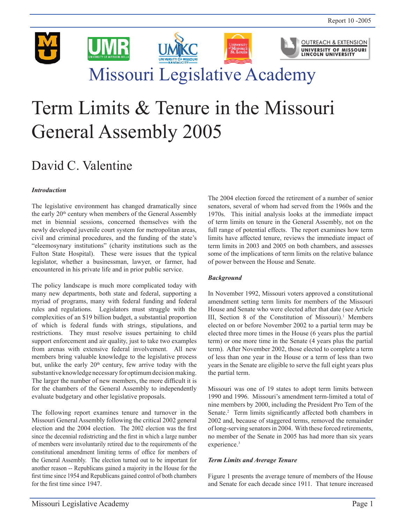

# Term Limits & Tenure in the Missouri General Assembly 2005

# David C. Valentine

# *Introduction*

The legislative environment has changed dramatically since the early 20<sup>th</sup> century when members of the General Assembly met in biennial sessions, concerned themselves with the newly developed juvenile court system for metropolitan areas, civil and criminal procedures, and the funding of the state's "eleemosynary institutions" (charity institutions such as the Fulton State Hospital). These were issues that the typical legislator, whether a businessman, lawyer, or farmer, had encountered in his private life and in prior public service.

The policy landscape is much more complicated today with many new departments, both state and federal, supporting a myriad of programs, many with federal funding and federal rules and regulations. Legislators must struggle with the complexities of an \$19 billion budget, a substantial proportion of which is federal funds with strings, stipulations, and restrictions. They must resolve issues pertaining to child support enforcement and air quality, just to take two examples from arenas with extensive federal involvement. All new members bring valuable knowledge to the legislative process but, unlike the early  $20<sup>th</sup>$  century, few arrive today with the substantive knowledge necessary for optimum decision making. The larger the number of new members, the more difficult it is for the chambers of the General Assembly to independently evaluate budgetary and other legislative proposals.

The following report examines tenure and turnover in the Missouri General Assembly following the critical 2002 general election and the 2004 election. The 2002 election was the first since the decennial redistricting and the first in which a large number of members were involuntarily retired due to the requirements of the constitutional amendment limiting terms of office for members of the General Assembly. The election turned out to be important for another reason -- Republicans gained a majority in the House for the first time since 1954 and Republicans gained control of both chambers for the first time since 1947.

The 2004 election forced the retirement of a number of senior senators, several of whom had served from the 1960s and the 1970s. This initial analysis looks at the immediate impact of term limits on tenure in the General Assembly, not on the full range of potential effects. The report examines how term limits have affected tenure, reviews the immediate impact of term limits in 2003 and 2005 on both chambers, and assesses some of the implications of term limits on the relative balance of power between the House and Senate.

# *Background*

In November 1992, Missouri voters approved a constitutional amendment setting term limits for members of the Missouri House and Senate who were elected after that date (see Article III, Section 8 of the Constitution of Missouri).<sup>1</sup> Members elected on or before November 2002 to a partial term may be elected three more times in the House (6 years plus the partial term) or one more time in the Senate (4 years plus the partial term). After November 2002, those elected to complete a term of less than one year in the House or a term of less than two years in the Senate are eligible to serve the full eight years plus the partial term.

Missouri was one of 19 states to adopt term limits between 1990 and 1996. Missouri's amendment term-limited a total of nine members by 2000, including the President Pro Tem of the Senate.<sup>2</sup> Term limits significantly affected both chambers in 2002 and, because of staggered terms, removed the remainder of long-serving senators in 2004. With these forced retirements, no member of the Senate in 2005 has had more than six years experience.<sup>3</sup>

# *Term Limits and Average Tenure*

Figure 1 presents the average tenure of members of the House and Senate for each decade since 1911. That tenure increased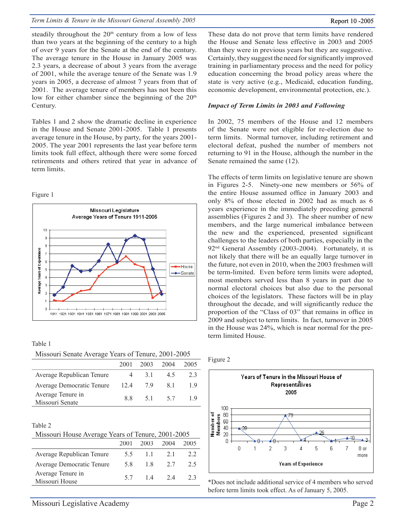steadily throughout the 20<sup>th</sup> century from a low of less than two years at the beginning of the century to a high of over 9 years for the Senate at the end of the century. The average tenure in the House in January 2005 was 2.3 years, a decrease of about 3 years from the average of 2001, while the average tenure of the Senate was 1.9 years in 2005, a decrease of almost 7 years from that of 2001. The average tenure of members has not been this low for either chamber since the beginning of the  $20<sup>th</sup>$ Century.

Tables 1 and 2 show the dramatic decline in experience in the House and Senate 2001-2005. Table 1 presents average tenure in the House, by party, for the years 2001- 2005. The year 2001 represents the last year before term limits took full effect, although there were some forced retirements and others retired that year in advance of term limits.

#### Figure 1



| Table 1                                            |  |  |
|----------------------------------------------------|--|--|
| Missouri Senate Average Years of Tenure, 2001-2005 |  |  |

|                                      | 2001 | 2003 | 2004 | 2005 |
|--------------------------------------|------|------|------|------|
| Average Republican Tenure            | 4    | 3 I  | 45   | 23   |
| Average Democratic Tenure            | 12.4 | 79   | 81   | 19   |
| Average Tenure in<br>Missouri Senate | 88   | 51   | 57   | 1 Q  |

#### Table 2

| Missouri House Average Years of Tenure, 2001-2005 |  |
|---------------------------------------------------|--|
|                                                   |  |

|                                     | 2001 | 2003  | 2004 | 2005 |
|-------------------------------------|------|-------|------|------|
| Average Republican Tenure           | 5.5  | 11    | 21   | 22   |
| Average Democratic Tenure           | 58   | 18    | 2.7  | 2.5  |
| Average Tenure in<br>Missouri House | 57   | 14 24 |      | 23   |
|                                     |      |       |      |      |

These data do not prove that term limits have rendered the House and Senate less effective in 2003 and 2005 than they were in previous years but they are suggestive. Certainly, they suggest the need for significantly improved training in parliamentary process and the need for policy education concerning the broad policy areas where the state is very active (e.g., Medicaid, education funding, economic development, environmental protection, etc.).

# *Impact of Term Limits in 2003 and Following*

In 2002, 75 members of the House and 12 members of the Senate were not eligible for re-election due to term limits. Normal turnover, including retirement and electoral defeat, pushed the number of members not returning to 91 in the House, although the number in the Senate remained the same (12).

The effects of term limits on legislative tenure are shown in Figures 2-5. Ninety-one new members or 56% of the entire House assumed office in January 2003 and only 8% of those elected in 2002 had as much as 6 years experience in the immediately preceding general assemblies (Figures 2 and 3). The sheer number of new members, and the large numerical imbalance between the new and the experienced, presented significant challenges to the leaders of both parties, especially in the 92<sup>nd</sup> General Assembly (2003-2004). Fortunately, it is not likely that there will be an equally large turnover in the future, not even in 2010, when the 2003 freshmen will be term-limited. Even before term limits were adopted, most members served less than 8 years in part due to normal electoral choices but also due to the personal choices of the legislators. These factors will be in play throughout the decade, and will significantly reduce the proportion of the "Class of 03" that remains in office in 2009 and subject to term limits. In fact, turnover in 2005 in the House was 24%, which is near normal for the preterm limited House.

Figure 2



\*Does not include additional service of 4 members who served before term limits took effect. As of January 5, 2005.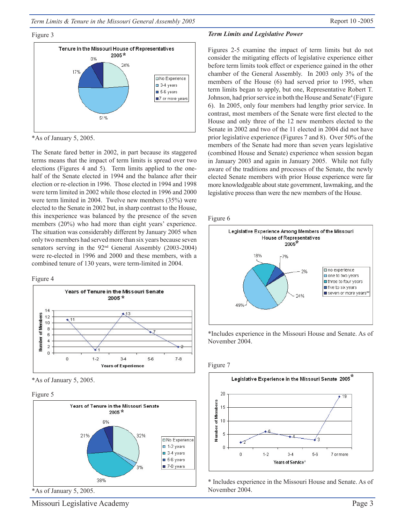*Term Limits & Tenure in the Missouri General Assembly 2005* Report 10 -2005

#### Figure 3



\*As of January 5, 2005.

The Senate fared better in 2002, in part because its staggered terms means that the impact of term limits is spread over two elections (Figures 4 and 5). Term limits applied to the onehalf of the Senate elected in 1994 and the balance after their election or re-election in 1996. Those elected in 1994 and 1998 were term limited in 2002 while those elected in 1996 and 2000 were term limited in 2004. Twelve new members (35%) were elected to the Senate in 2002 but, in sharp contrast to the House, this inexperience was balanced by the presence of the seven members (20%) who had more than eight years' experience. The situation was considerably different by January 2005 when only two members had served more than six years because seven senators serving in the 92<sup>nd</sup> General Assembly (2003-2004) were re-elected in 1996 and 2000 and these members, with a combined tenure of 130 years, were term-limited in 2004.

#### Figure 4



\*As of January 5, 2005.

Figure 5



\*As of January 5, 2005.

### *Term Limits and Legislative Power*

Figures 2-5 examine the impact of term limits but do not consider the mitigating effects of legislative experience either before term limits took effect or experience gained in the other chamber of the General Assembly. In 2003 only 3% of the members of the House (6) had served prior to 1995, when term limits began to apply, but one, Representative Robert T. Johnson, had prior service in both the House and Senate<sup>4</sup> (Figure 6). In 2005, only four members had lengthy prior service. In contrast, most members of the Senate were first elected to the House and only three of the 12 new members elected to the Senate in 2002 and two of the 11 elected in 2004 did not have prior legislative experience (Figures 7 and 8). Over 50% of the members of the Senate had more than seven years legislative (combined House and Senate) experience when session began in January 2003 and again in January 2005. While not fully aware of the traditions and processes of the Senate, the newly elected Senate members with prior House experience were far more knowledgeable about state government, lawmaking, and the legislative process than were the new members of the House.





\*Includes experience in the Missouri House and Senate. As of November 2004.





\* Includes experience in the Missouri House and Senate. As of November 2004.

Missouri Legislative Academy Page 3